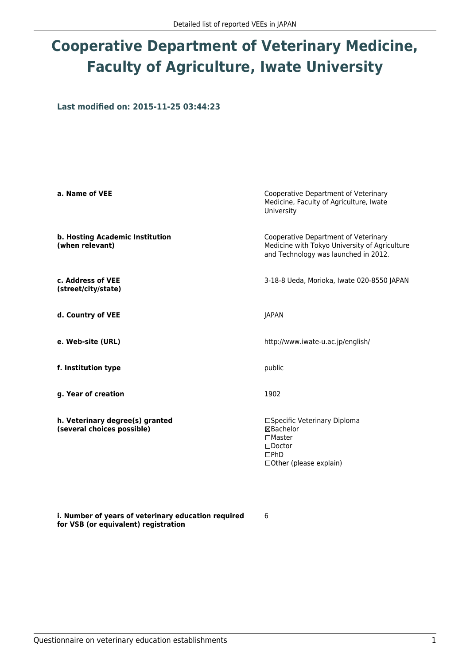### **Cooperative Department of Veterinary Medicine, Faculty of Agriculture, Iwate University**

**Last modified on: 2015-11-25 03:44:23**

| a. Name of VEE                                                | Cooperative Department of Veterinary<br>Medicine, Faculty of Agriculture, Iwate<br>University                                 |
|---------------------------------------------------------------|-------------------------------------------------------------------------------------------------------------------------------|
| b. Hosting Academic Institution<br>(when relevant)            | Cooperative Department of Veterinary<br>Medicine with Tokyo University of Agriculture<br>and Technology was launched in 2012. |
| c. Address of VEE<br>(street/city/state)                      | 3-18-8 Ueda, Morioka, Iwate 020-8550 JAPAN                                                                                    |
| d. Country of VEE                                             | <b>JAPAN</b>                                                                                                                  |
| e. Web-site (URL)                                             | http://www.iwate-u.ac.jp/english/                                                                                             |
| f. Institution type                                           | public                                                                                                                        |
| g. Year of creation                                           | 1902                                                                                                                          |
| h. Veterinary degree(s) granted<br>(several choices possible) | □Specific Veterinary Diploma<br>⊠Bachelor<br>$\Box$ Master<br>$\Box$ Doctor<br>$\Box$ PhD<br>$\Box$ Other (please explain)    |

6

**i. Number of years of veterinary education required for VSB (or equivalent) registration**

Questionnaire on veterinary education establishments 1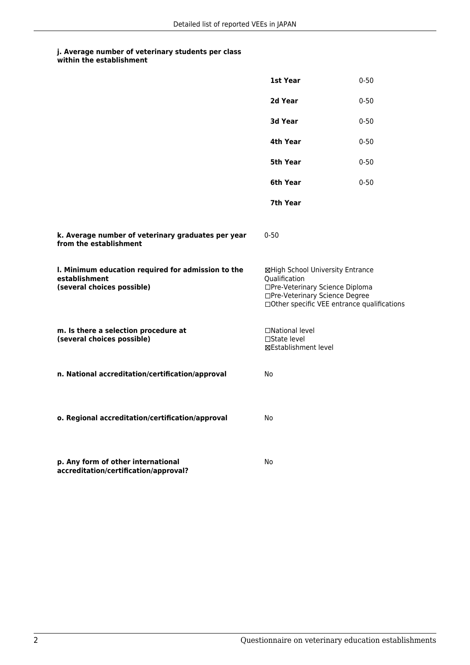|                                                                                                   | 1st Year                                                                                                               | $0 - 50$                                    |
|---------------------------------------------------------------------------------------------------|------------------------------------------------------------------------------------------------------------------------|---------------------------------------------|
|                                                                                                   | 2d Year                                                                                                                | $0 - 50$                                    |
|                                                                                                   | <b>3d Year</b>                                                                                                         | $0 - 50$                                    |
|                                                                                                   | 4th Year                                                                                                               | $0 - 50$                                    |
|                                                                                                   | 5th Year                                                                                                               | $0 - 50$                                    |
|                                                                                                   | 6th Year                                                                                                               | $0 - 50$                                    |
|                                                                                                   | 7th Year                                                                                                               |                                             |
| k. Average number of veterinary graduates per year<br>from the establishment                      | $0 - 50$                                                                                                               |                                             |
| I. Minimum education required for admission to the<br>establishment<br>(several choices possible) | ⊠High School University Entrance<br>Qualification<br>□Pre-Veterinary Science Diploma<br>□Pre-Veterinary Science Degree | □Other specific VEE entrance qualifications |
| m. Is there a selection procedure at<br>(several choices possible)                                | □National level<br>□State level<br>⊠Establishment level                                                                |                                             |
| n. National accreditation/certification/approval                                                  | No                                                                                                                     |                                             |
| o. Regional accreditation/certification/approval                                                  | No                                                                                                                     |                                             |
| p. Any form of other international<br>accreditation/certification/approval?                       | No                                                                                                                     |                                             |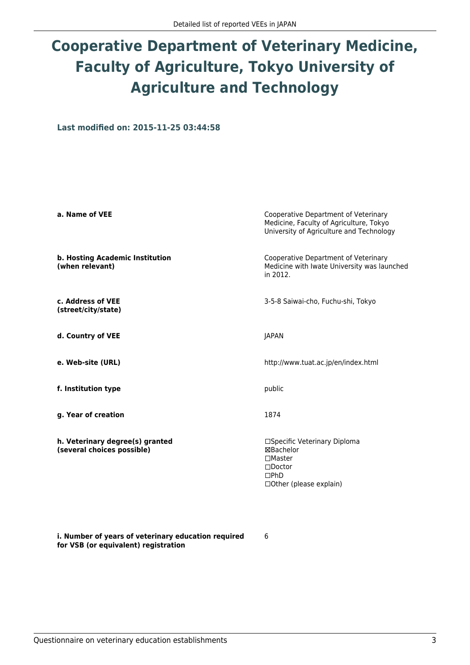# **Cooperative Department of Veterinary Medicine, Faculty of Agriculture, Tokyo University of Agriculture and Technology**

**Last modified on: 2015-11-25 03:44:58**

| a. Name of VEE                                                | Cooperative Department of Veterinary<br>Medicine, Faculty of Agriculture, Tokyo<br>University of Agriculture and Technology |
|---------------------------------------------------------------|-----------------------------------------------------------------------------------------------------------------------------|
| b. Hosting Academic Institution<br>(when relevant)            | Cooperative Department of Veterinary<br>Medicine with Iwate University was launched<br>in 2012.                             |
| c. Address of VEE<br>(street/city/state)                      | 3-5-8 Saiwai-cho, Fuchu-shi, Tokyo                                                                                          |
| d. Country of VEE                                             | <b>JAPAN</b>                                                                                                                |
| e. Web-site (URL)                                             | http://www.tuat.ac.jp/en/index.html                                                                                         |
| f. Institution type                                           | public                                                                                                                      |
| g. Year of creation                                           | 1874                                                                                                                        |
| h. Veterinary degree(s) granted<br>(several choices possible) | □Specific Veterinary Diploma<br>⊠Bachelor<br>$\square$ Master<br>$\Box$ Doctor<br>$\square$ PhD<br>□ Other (please explain) |

**i. Number of years of veterinary education required for VSB (or equivalent) registration**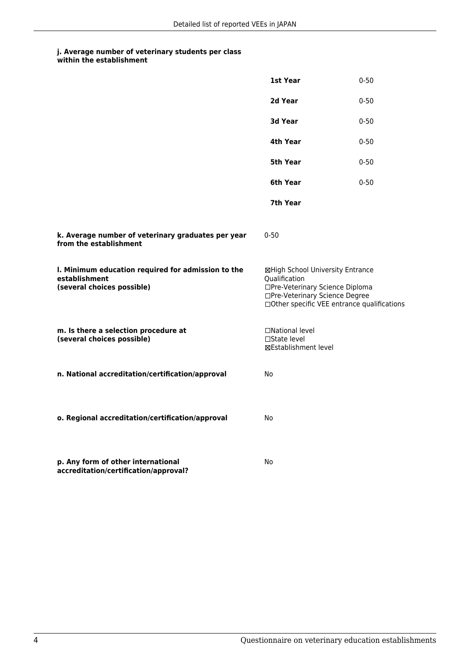|                                                                                                   | 1st Year                                                                                                               | $0 - 50$                                    |
|---------------------------------------------------------------------------------------------------|------------------------------------------------------------------------------------------------------------------------|---------------------------------------------|
|                                                                                                   | 2d Year                                                                                                                | $0 - 50$                                    |
|                                                                                                   | 3d Year                                                                                                                | $0 - 50$                                    |
|                                                                                                   | 4th Year                                                                                                               | $0 - 50$                                    |
|                                                                                                   | 5th Year                                                                                                               | $0 - 50$                                    |
|                                                                                                   | 6th Year                                                                                                               | $0 - 50$                                    |
|                                                                                                   | 7th Year                                                                                                               |                                             |
| k. Average number of veterinary graduates per year<br>from the establishment                      | $0 - 50$                                                                                                               |                                             |
| I. Minimum education required for admission to the<br>establishment<br>(several choices possible) | ⊠High School University Entrance<br>Qualification<br>□Pre-Veterinary Science Diploma<br>□Pre-Veterinary Science Degree | □Other specific VEE entrance qualifications |
| m. Is there a selection procedure at<br>(several choices possible)                                | □National level<br>□State level<br>⊠Establishment level                                                                |                                             |
| n. National accreditation/certification/approval                                                  | No                                                                                                                     |                                             |
| o. Regional accreditation/certification/approval                                                  | No                                                                                                                     |                                             |
| p. Any form of other international<br>accreditation/certification/approval?                       | No                                                                                                                     |                                             |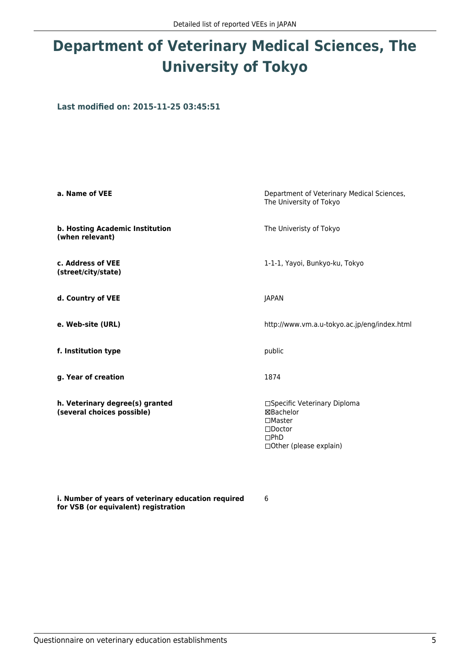### **Department of Veterinary Medical Sciences, The University of Tokyo**

**Last modified on: 2015-11-25 03:45:51**

| a. Name of VEE                                                | Department of Veterinary Medical Sciences,<br>The University of Tokyo                                                          |
|---------------------------------------------------------------|--------------------------------------------------------------------------------------------------------------------------------|
| b. Hosting Academic Institution<br>(when relevant)            | The Univeristy of Tokyo                                                                                                        |
| c. Address of VEE<br>(street/city/state)                      | 1-1-1, Yayoi, Bunkyo-ku, Tokyo                                                                                                 |
| d. Country of VEE                                             | <b>JAPAN</b>                                                                                                                   |
| e. Web-site (URL)                                             | http://www.vm.a.u-tokyo.ac.jp/eng/index.html                                                                                   |
| f. Institution type                                           | public                                                                                                                         |
| g. Year of creation                                           | 1874                                                                                                                           |
| h. Veterinary degree(s) granted<br>(several choices possible) | □Specific Veterinary Diploma<br>⊠Bachelor<br>$\square$ Master<br>$\square$ Doctor<br>$\square$ PhD<br>□ Other (please explain) |

**i. Number of years of veterinary education required for VSB (or equivalent) registration**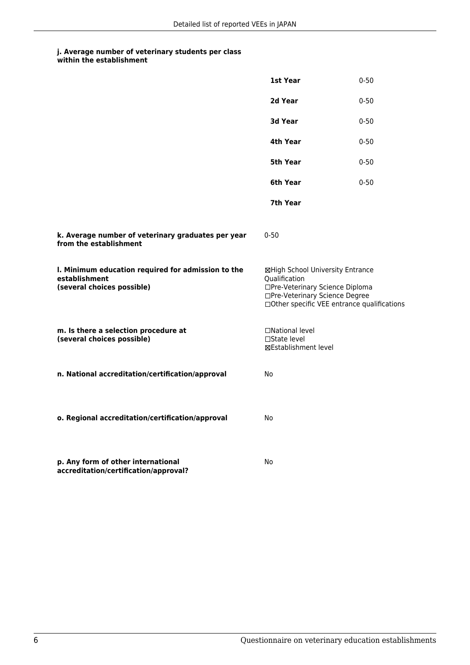|                                                                                                   | 1st Year                                                                                                               | $0 - 50$                                    |
|---------------------------------------------------------------------------------------------------|------------------------------------------------------------------------------------------------------------------------|---------------------------------------------|
|                                                                                                   | 2d Year                                                                                                                | $0 - 50$                                    |
|                                                                                                   | 3d Year                                                                                                                | $0 - 50$                                    |
|                                                                                                   | 4th Year                                                                                                               | $0 - 50$                                    |
|                                                                                                   | 5th Year                                                                                                               | $0 - 50$                                    |
|                                                                                                   | 6th Year                                                                                                               | $0 - 50$                                    |
|                                                                                                   | 7th Year                                                                                                               |                                             |
| k. Average number of veterinary graduates per year<br>from the establishment                      | $0 - 50$                                                                                                               |                                             |
| I. Minimum education required for admission to the<br>establishment<br>(several choices possible) | ⊠High School University Entrance<br>Qualification<br>□Pre-Veterinary Science Diploma<br>□Pre-Veterinary Science Degree | □Other specific VEE entrance qualifications |
| m. Is there a selection procedure at<br>(several choices possible)                                | □National level<br>□State level<br>⊠Establishment level                                                                |                                             |
| n. National accreditation/certification/approval                                                  | No                                                                                                                     |                                             |
| o. Regional accreditation/certification/approval                                                  | No                                                                                                                     |                                             |
| p. Any form of other international<br>accreditation/certification/approval?                       | No                                                                                                                     |                                             |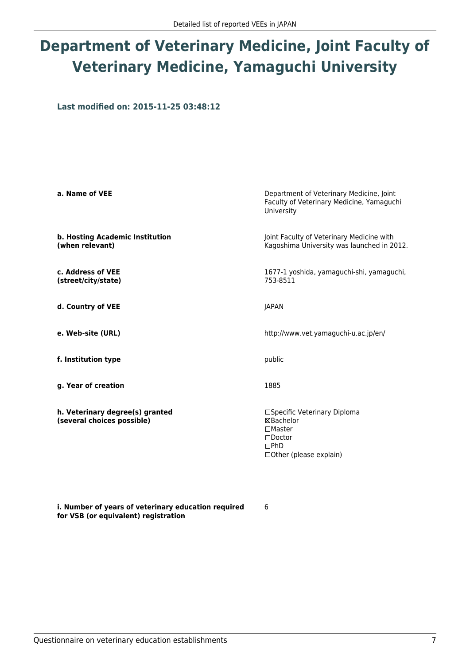## **Department of Veterinary Medicine, Joint Faculty of Veterinary Medicine, Yamaguchi University**

**Last modified on: 2015-11-25 03:48:12**

| a. Name of VEE                                                | Department of Veterinary Medicine, Joint<br>Faculty of Veterinary Medicine, Yamaguchi<br>University                      |
|---------------------------------------------------------------|--------------------------------------------------------------------------------------------------------------------------|
| b. Hosting Academic Institution<br>(when relevant)            | Joint Faculty of Veterinary Medicine with<br>Kagoshima University was launched in 2012.                                  |
| c. Address of VEE<br>(street/city/state)                      | 1677-1 yoshida, yamaguchi-shi, yamaguchi,<br>753-8511                                                                    |
| d. Country of VEE                                             | <b>JAPAN</b>                                                                                                             |
| e. Web-site (URL)                                             | http://www.vet.yamaguchi-u.ac.jp/en/                                                                                     |
| f. Institution type                                           | public                                                                                                                   |
| g. Year of creation                                           | 1885                                                                                                                     |
| h. Veterinary degree(s) granted<br>(several choices possible) | □Specific Veterinary Diploma<br>⊠Bachelor<br>$\Box$ Master<br>$\Box$ Doctor<br>$\square$ PhD<br>□ Other (please explain) |

**i. Number of years of veterinary education required for VSB (or equivalent) registration**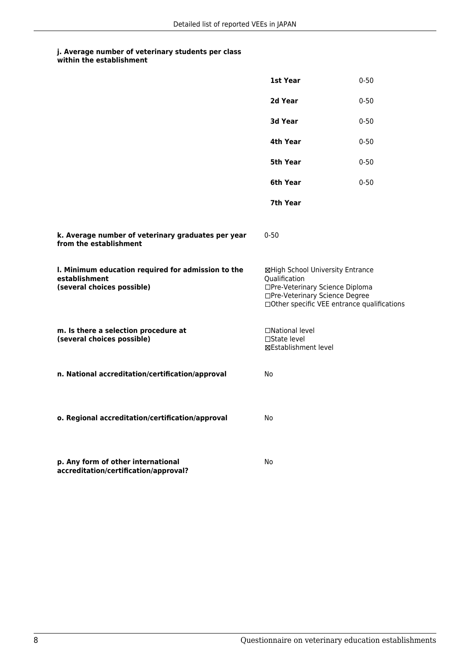|                                                                                                   | 1st Year                                                                                                               | $0 - 50$                                    |
|---------------------------------------------------------------------------------------------------|------------------------------------------------------------------------------------------------------------------------|---------------------------------------------|
|                                                                                                   | 2d Year                                                                                                                | $0 - 50$                                    |
|                                                                                                   | 3d Year                                                                                                                | $0 - 50$                                    |
|                                                                                                   | 4th Year                                                                                                               | $0 - 50$                                    |
|                                                                                                   | 5th Year                                                                                                               | $0 - 50$                                    |
|                                                                                                   | 6th Year                                                                                                               | $0 - 50$                                    |
|                                                                                                   | 7th Year                                                                                                               |                                             |
| k. Average number of veterinary graduates per year<br>from the establishment                      | $0 - 50$                                                                                                               |                                             |
| I. Minimum education required for admission to the<br>establishment<br>(several choices possible) | ⊠High School University Entrance<br>Qualification<br>□Pre-Veterinary Science Diploma<br>□Pre-Veterinary Science Degree | □Other specific VEE entrance qualifications |
| m. Is there a selection procedure at<br>(several choices possible)                                | □National level<br>□State level<br>⊠Establishment level                                                                |                                             |
| n. National accreditation/certification/approval                                                  | No                                                                                                                     |                                             |
| o. Regional accreditation/certification/approval                                                  | No                                                                                                                     |                                             |
| p. Any form of other international<br>accreditation/certification/approval?                       | No                                                                                                                     |                                             |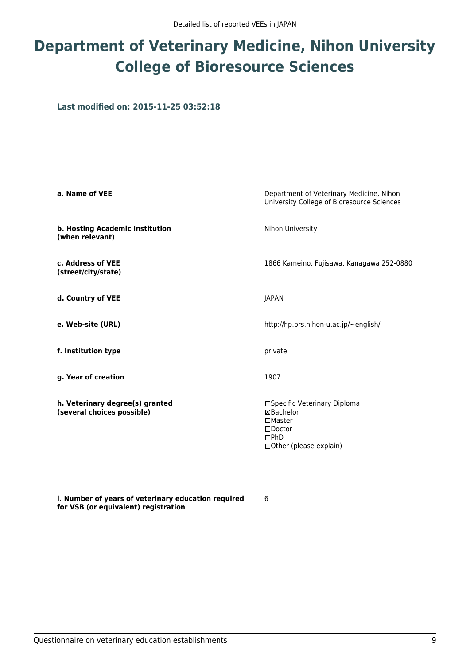## **Department of Veterinary Medicine, Nihon University College of Bioresource Sciences**

**Last modified on: 2015-11-25 03:52:18**

| a. Name of VEE                                                | Department of Veterinary Medicine, Nihon<br>University College of Bioresource Sciences                                   |
|---------------------------------------------------------------|--------------------------------------------------------------------------------------------------------------------------|
| b. Hosting Academic Institution<br>(when relevant)            | Nihon University                                                                                                         |
| c. Address of VEE<br>(street/city/state)                      | 1866 Kameino, Fujisawa, Kanagawa 252-0880                                                                                |
| d. Country of VEE                                             | JAPAN                                                                                                                    |
| e. Web-site (URL)                                             | http://hp.brs.nihon-u.ac.jp/~english/                                                                                    |
| f. Institution type                                           | private                                                                                                                  |
| g. Year of creation                                           | 1907                                                                                                                     |
| h. Veterinary degree(s) granted<br>(several choices possible) | □Specific Veterinary Diploma<br>⊠Bachelor<br>$\Box$ Master<br>$\square$ Doctor<br>$\Box$ PhD<br>□ Other (please explain) |

**i. Number of years of veterinary education required for VSB (or equivalent) registration**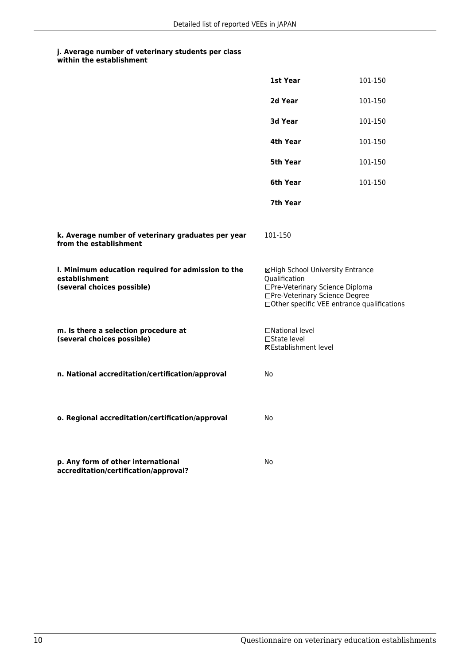### **j. Average number of veterinary students per class**

|  | within the establishment |
|--|--------------------------|
|--|--------------------------|

|                                                                                                   | 1st Year                                                                                                                                                              | 101-150 |
|---------------------------------------------------------------------------------------------------|-----------------------------------------------------------------------------------------------------------------------------------------------------------------------|---------|
|                                                                                                   | 2d Year                                                                                                                                                               | 101-150 |
|                                                                                                   | 3d Year                                                                                                                                                               | 101-150 |
|                                                                                                   | 4th Year                                                                                                                                                              | 101-150 |
|                                                                                                   | 5th Year                                                                                                                                                              | 101-150 |
|                                                                                                   | 6th Year                                                                                                                                                              | 101-150 |
|                                                                                                   | 7th Year                                                                                                                                                              |         |
| k. Average number of veterinary graduates per year<br>from the establishment                      | 101-150                                                                                                                                                               |         |
| I. Minimum education required for admission to the<br>establishment<br>(several choices possible) | ⊠High School University Entrance<br>Qualification<br>□Pre-Veterinary Science Diploma<br>□Pre-Veterinary Science Degree<br>□Other specific VEE entrance qualifications |         |
| m. Is there a selection procedure at<br>(several choices possible)                                | □National level<br>□State level<br>⊠Establishment level                                                                                                               |         |
| n. National accreditation/certification/approval                                                  | No                                                                                                                                                                    |         |
| o. Regional accreditation/certification/approval                                                  | No                                                                                                                                                                    |         |
| p. Any form of other international<br>accreditation/certification/approval?                       | No                                                                                                                                                                    |         |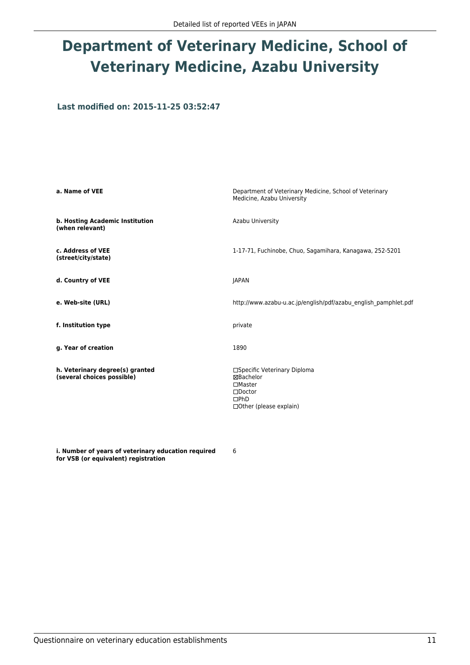## **Department of Veterinary Medicine, School of Veterinary Medicine, Azabu University**

**Last modified on: 2015-11-25 03:52:47**

| a. Name of VEE                                                | Department of Veterinary Medicine, School of Veterinary<br>Medicine, Azabu University                                         |
|---------------------------------------------------------------|-------------------------------------------------------------------------------------------------------------------------------|
| b. Hosting Academic Institution<br>(when relevant)            | Azabu University                                                                                                              |
| c. Address of VEE<br>(street/city/state)                      | 1-17-71, Fuchinobe, Chuo, Sagamihara, Kanagawa, 252-5201                                                                      |
| d. Country of VEE                                             | <b>JAPAN</b>                                                                                                                  |
| e. Web-site (URL)                                             | http://www.azabu-u.ac.jp/english/pdf/azabu_english_pamphlet.pdf                                                               |
| f. Institution type                                           | private                                                                                                                       |
| g. Year of creation                                           | 1890                                                                                                                          |
| h. Veterinary degree(s) granted<br>(several choices possible) | □Specific Veterinary Diploma<br>⊠Bachelor<br>$\Box$ Master<br>$\square$ Doctor<br>$\Box$ PhD<br>$\Box$ Other (please explain) |

**i. Number of years of veterinary education required for VSB (or equivalent) registration**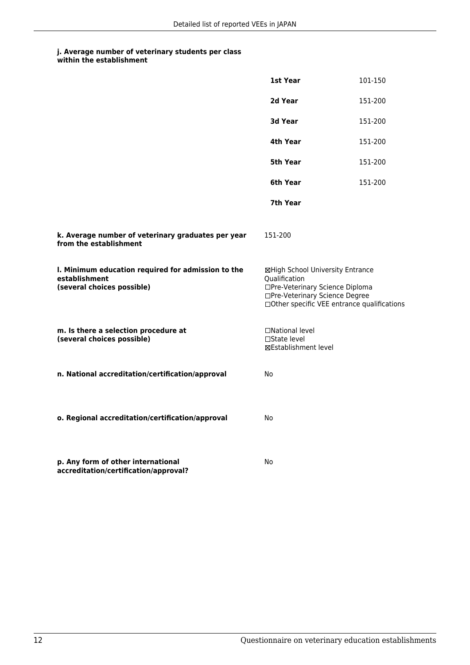### **j. Average number of veterinary students per class**

|                                                                                                   | 1st Year                                                                                                                                                              | 101-150 |
|---------------------------------------------------------------------------------------------------|-----------------------------------------------------------------------------------------------------------------------------------------------------------------------|---------|
|                                                                                                   | 2d Year                                                                                                                                                               | 151-200 |
|                                                                                                   | 3d Year                                                                                                                                                               | 151-200 |
|                                                                                                   | 4th Year                                                                                                                                                              | 151-200 |
|                                                                                                   | 5th Year                                                                                                                                                              | 151-200 |
|                                                                                                   | 6th Year                                                                                                                                                              | 151-200 |
|                                                                                                   | 7th Year                                                                                                                                                              |         |
| k. Average number of veterinary graduates per year<br>from the establishment                      | 151-200                                                                                                                                                               |         |
| I. Minimum education required for admission to the<br>establishment<br>(several choices possible) | ⊠High School University Entrance<br>Qualification<br>□Pre-Veterinary Science Diploma<br>□Pre-Veterinary Science Degree<br>□Other specific VEE entrance qualifications |         |
| m. Is there a selection procedure at<br>(several choices possible)                                | □National level<br>$\Box$ State level<br><b>⊠Establishment level</b>                                                                                                  |         |
| n. National accreditation/certification/approval                                                  | No                                                                                                                                                                    |         |
| o. Regional accreditation/certification/approval                                                  | No                                                                                                                                                                    |         |
| p. Any form of other international<br>accreditation/certification/approval?                       | No                                                                                                                                                                    |         |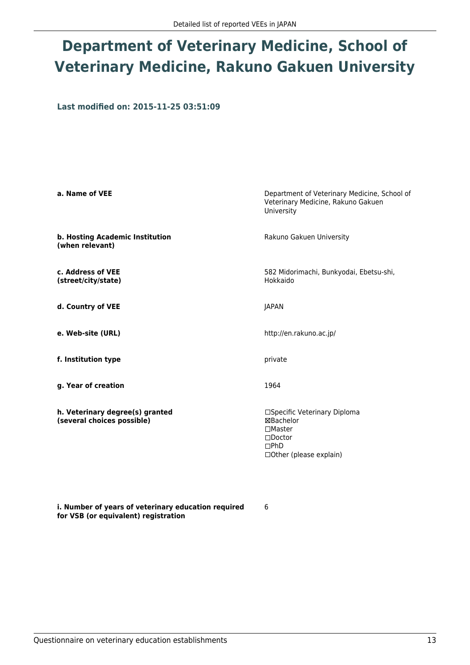### **Department of Veterinary Medicine, School of Veterinary Medicine, Rakuno Gakuen University**

**Last modified on: 2015-11-25 03:51:09**

| a. Name of VEE                                                | Department of Veterinary Medicine, School of<br>Veterinary Medicine, Rakuno Gakuen<br>University                               |
|---------------------------------------------------------------|--------------------------------------------------------------------------------------------------------------------------------|
| b. Hosting Academic Institution<br>(when relevant)            | Rakuno Gakuen University                                                                                                       |
| c. Address of VEE<br>(street/city/state)                      | 582 Midorimachi, Bunkyodai, Ebetsu-shi,<br>Hokkaido                                                                            |
| d. Country of VEE                                             | <b>JAPAN</b>                                                                                                                   |
| e. Web-site (URL)                                             | http://en.rakuno.ac.jp/                                                                                                        |
| f. Institution type                                           | private                                                                                                                        |
| g. Year of creation                                           | 1964                                                                                                                           |
| h. Veterinary degree(s) granted<br>(several choices possible) | □Specific Veterinary Diploma<br>⊠Bachelor<br>$\square$ Master<br>$\square$ Doctor<br>$\square$ PhD<br>□ Other (please explain) |

**i. Number of years of veterinary education required for VSB (or equivalent) registration**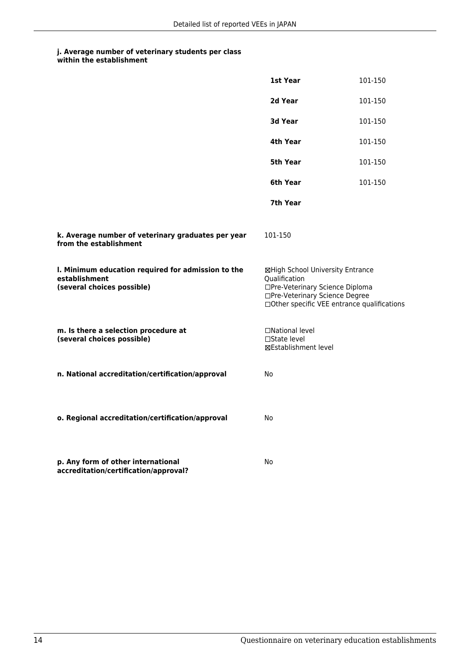### **j. Average number of veterinary students per class**

|  | within the establishment |
|--|--------------------------|
|--|--------------------------|

|                                                                                                   | 1st Year                                                                                                                                                              | 101-150 |
|---------------------------------------------------------------------------------------------------|-----------------------------------------------------------------------------------------------------------------------------------------------------------------------|---------|
|                                                                                                   | 2d Year                                                                                                                                                               | 101-150 |
|                                                                                                   | 3d Year                                                                                                                                                               | 101-150 |
|                                                                                                   | 4th Year                                                                                                                                                              | 101-150 |
|                                                                                                   | 5th Year                                                                                                                                                              | 101-150 |
|                                                                                                   | 6th Year                                                                                                                                                              | 101-150 |
|                                                                                                   | 7th Year                                                                                                                                                              |         |
| k. Average number of veterinary graduates per year<br>from the establishment                      | 101-150                                                                                                                                                               |         |
| I. Minimum education required for admission to the<br>establishment<br>(several choices possible) | ⊠High School University Entrance<br>Qualification<br>□Pre-Veterinary Science Diploma<br>□Pre-Veterinary Science Degree<br>□Other specific VEE entrance qualifications |         |
| m. Is there a selection procedure at<br>(several choices possible)                                | □National level<br>□State level<br>⊠Establishment level                                                                                                               |         |
| n. National accreditation/certification/approval                                                  | No                                                                                                                                                                    |         |
| o. Regional accreditation/certification/approval                                                  | No                                                                                                                                                                    |         |
| p. Any form of other international<br>accreditation/certification/approval?                       | No                                                                                                                                                                    |         |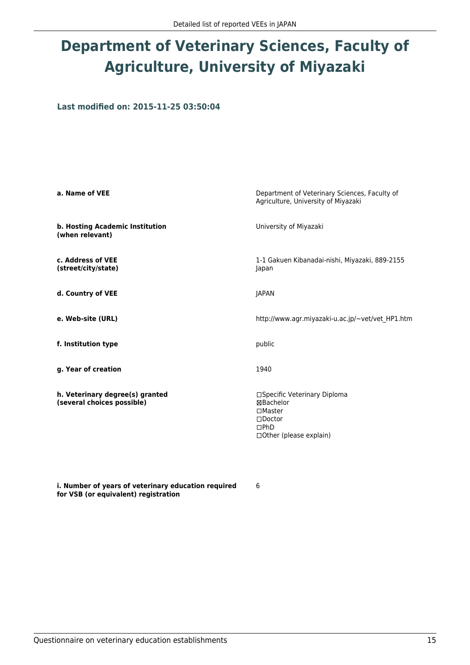### **Department of Veterinary Sciences, Faculty of Agriculture, University of Miyazaki**

**Last modified on: 2015-11-25 03:50:04**

| a. Name of VEE                                                | Department of Veterinary Sciences, Faculty of<br>Agriculture, University of Miyazaki                                  |
|---------------------------------------------------------------|-----------------------------------------------------------------------------------------------------------------------|
| b. Hosting Academic Institution<br>(when relevant)            | University of Miyazaki                                                                                                |
| c. Address of VEE<br>(street/city/state)                      | 1-1 Gakuen Kibanadai-nishi, Miyazaki, 889-2155<br>Japan                                                               |
| d. Country of VEE                                             | <b>JAPAN</b>                                                                                                          |
| e. Web-site (URL)                                             | http://www.agr.miyazaki-u.ac.jp/~vet/vet HP1.htm                                                                      |
| f. Institution type                                           | public                                                                                                                |
| g. Year of creation                                           | 1940                                                                                                                  |
| h. Veterinary degree(s) granted<br>(several choices possible) | □Specific Veterinary Diploma<br>⊠Bachelor<br>$\square$ Master<br>$\square$ Doctor<br>DPhD<br>□ Other (please explain) |

**i. Number of years of veterinary education required for VSB (or equivalent) registration**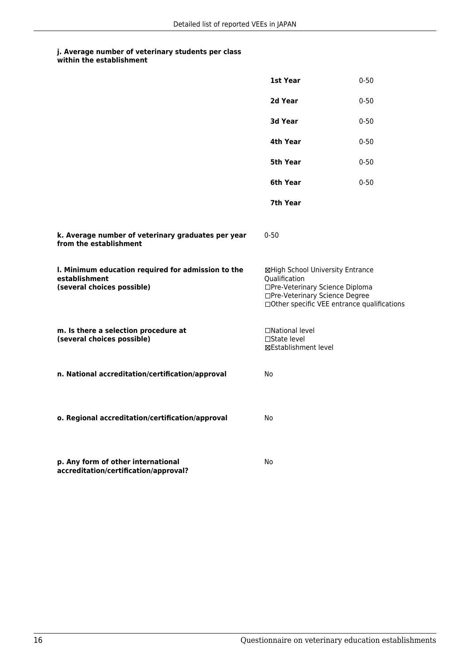|                                                                                                   | 1st Year                                                                                                                                                              | $0 - 50$ |
|---------------------------------------------------------------------------------------------------|-----------------------------------------------------------------------------------------------------------------------------------------------------------------------|----------|
|                                                                                                   | 2d Year                                                                                                                                                               | $0 - 50$ |
|                                                                                                   | 3d Year                                                                                                                                                               | $0 - 50$ |
|                                                                                                   | 4th Year                                                                                                                                                              | $0 - 50$ |
|                                                                                                   | 5th Year                                                                                                                                                              | $0 - 50$ |
|                                                                                                   | 6th Year                                                                                                                                                              | $0 - 50$ |
|                                                                                                   | 7th Year                                                                                                                                                              |          |
| k. Average number of veterinary graduates per year<br>from the establishment                      | $0 - 50$                                                                                                                                                              |          |
| I. Minimum education required for admission to the<br>establishment<br>(several choices possible) | ⊠High School University Entrance<br>Qualification<br>□Pre-Veterinary Science Diploma<br>□Pre-Veterinary Science Degree<br>□Other specific VEE entrance qualifications |          |
| m. Is there a selection procedure at<br>(several choices possible)                                | □National level<br>□State level<br>⊠Establishment level                                                                                                               |          |
| n. National accreditation/certification/approval                                                  | No                                                                                                                                                                    |          |
| o. Regional accreditation/certification/approval                                                  | No                                                                                                                                                                    |          |
| p. Any form of other international<br>accreditation/certification/approval?                       | No                                                                                                                                                                    |          |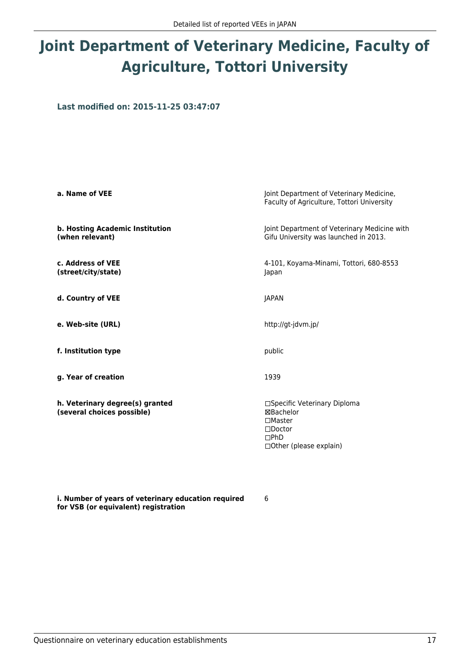## **Joint Department of Veterinary Medicine, Faculty of Agriculture, Tottori University**

**Last modified on: 2015-11-25 03:47:07**

| a. Name of VEE                                                | Joint Department of Veterinary Medicine,<br>Faculty of Agriculture, Tottori University                                  |
|---------------------------------------------------------------|-------------------------------------------------------------------------------------------------------------------------|
| b. Hosting Academic Institution<br>(when relevant)            | Joint Department of Veterinary Medicine with<br>Gifu University was launched in 2013.                                   |
| c. Address of VEE<br>(street/city/state)                      | 4-101, Koyama-Minami, Tottori, 680-8553<br>Japan                                                                        |
| d. Country of VEE                                             | <b>JAPAN</b>                                                                                                            |
| e. Web-site (URL)                                             | http://gt-jdvm.jp/                                                                                                      |
| f. Institution type                                           | public                                                                                                                  |
| g. Year of creation                                           | 1939                                                                                                                    |
| h. Veterinary degree(s) granted<br>(several choices possible) | □Specific Veterinary Diploma<br>⊠Bachelor<br>$\Box$ Master<br>$\square$ Doctor<br>$\Box$ PhD<br>□Other (please explain) |

6

**i. Number of years of veterinary education required for VSB (or equivalent) registration**

Questionnaire on veterinary education establishments and the state of the state of the state of the state of the state of the state of the state of the state of the state of the state of the state of the state of the state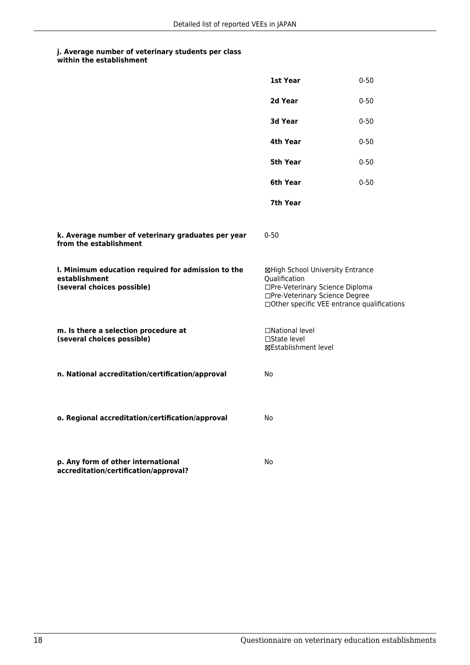|                                                                                                   | 1st Year                                                                                                                                                              | $0 - 50$ |
|---------------------------------------------------------------------------------------------------|-----------------------------------------------------------------------------------------------------------------------------------------------------------------------|----------|
|                                                                                                   | 2d Year                                                                                                                                                               | $0 - 50$ |
|                                                                                                   | 3d Year                                                                                                                                                               | $0 - 50$ |
|                                                                                                   | 4th Year                                                                                                                                                              | $0 - 50$ |
|                                                                                                   | 5th Year                                                                                                                                                              | $0 - 50$ |
|                                                                                                   | 6th Year                                                                                                                                                              | $0 - 50$ |
|                                                                                                   | 7th Year                                                                                                                                                              |          |
| k. Average number of veterinary graduates per year<br>from the establishment                      | $0 - 50$                                                                                                                                                              |          |
| I. Minimum education required for admission to the<br>establishment<br>(several choices possible) | ⊠High School University Entrance<br>Qualification<br>□Pre-Veterinary Science Diploma<br>□Pre-Veterinary Science Degree<br>□Other specific VEE entrance qualifications |          |
| m. Is there a selection procedure at<br>(several choices possible)                                | □National level<br>□State level<br>⊠Establishment level                                                                                                               |          |
| n. National accreditation/certification/approval                                                  | No                                                                                                                                                                    |          |
| o. Regional accreditation/certification/approval                                                  | No                                                                                                                                                                    |          |
| p. Any form of other international<br>accreditation/certification/approval?                       | No                                                                                                                                                                    |          |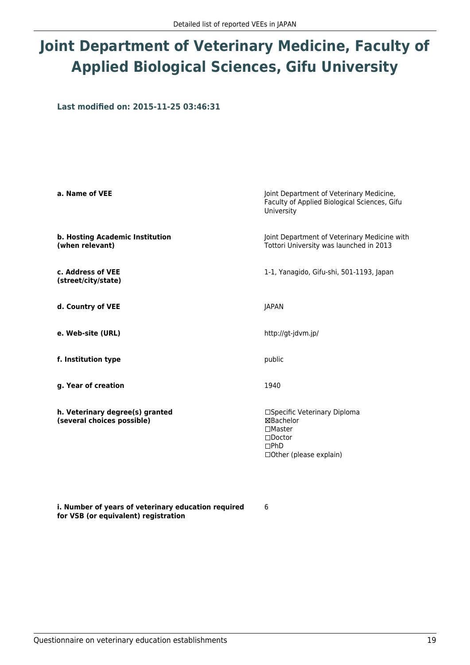# **Joint Department of Veterinary Medicine, Faculty of Applied Biological Sciences, Gifu University**

**Last modified on: 2015-11-25 03:46:31**

| a. Name of VEE                                                | Joint Department of Veterinary Medicine,<br>Faculty of Applied Biological Sciences, Gifu<br>University                   |
|---------------------------------------------------------------|--------------------------------------------------------------------------------------------------------------------------|
| b. Hosting Academic Institution<br>(when relevant)            | Joint Department of Veterinary Medicine with<br>Tottori University was launched in 2013                                  |
| c. Address of VEE<br>(street/city/state)                      | 1-1, Yanagido, Gifu-shi, 501-1193, Japan                                                                                 |
| d. Country of VEE                                             | JAPAN                                                                                                                    |
| e. Web-site (URL)                                             | http://gt-jdvm.jp/                                                                                                       |
| f. Institution type                                           | public                                                                                                                   |
| g. Year of creation                                           | 1940                                                                                                                     |
| h. Veterinary degree(s) granted<br>(several choices possible) | □Specific Veterinary Diploma<br>⊠Bachelor<br>$\square$ Master<br>$\Box$ Doctor<br>$\Box$ PhD<br>□ Other (please explain) |

6

**i. Number of years of veterinary education required for VSB (or equivalent) registration**

Questionnaire on veterinary education establishments 19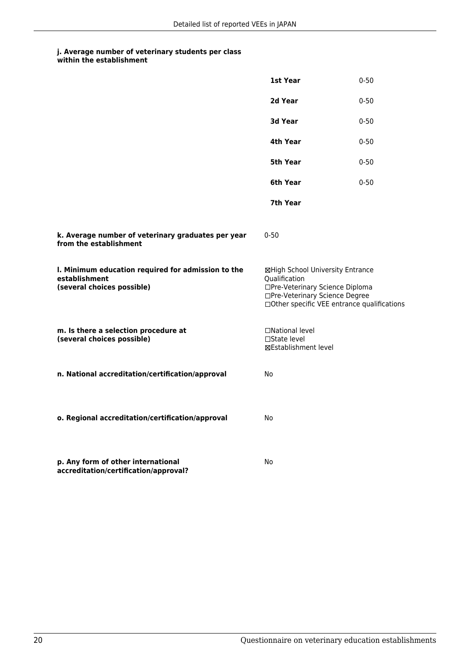|                                                                                                   | 1st Year                                                                                                                                                              | $0 - 50$ |
|---------------------------------------------------------------------------------------------------|-----------------------------------------------------------------------------------------------------------------------------------------------------------------------|----------|
|                                                                                                   | 2d Year                                                                                                                                                               | $0 - 50$ |
|                                                                                                   | 3d Year                                                                                                                                                               | $0 - 50$ |
|                                                                                                   | 4th Year                                                                                                                                                              | $0 - 50$ |
|                                                                                                   | 5th Year                                                                                                                                                              | $0 - 50$ |
|                                                                                                   | 6th Year                                                                                                                                                              | $0 - 50$ |
|                                                                                                   | 7th Year                                                                                                                                                              |          |
| k. Average number of veterinary graduates per year<br>from the establishment                      | $0 - 50$                                                                                                                                                              |          |
| I. Minimum education required for admission to the<br>establishment<br>(several choices possible) | ⊠High School University Entrance<br>Qualification<br>□Pre-Veterinary Science Diploma<br>□Pre-Veterinary Science Degree<br>□Other specific VEE entrance qualifications |          |
| m. Is there a selection procedure at<br>(several choices possible)                                | □National level<br>□State level<br>⊠Establishment level                                                                                                               |          |
| n. National accreditation/certification/approval                                                  | No                                                                                                                                                                    |          |
| o. Regional accreditation/certification/approval                                                  | No                                                                                                                                                                    |          |
| p. Any form of other international<br>accreditation/certification/approval?                       | No                                                                                                                                                                    |          |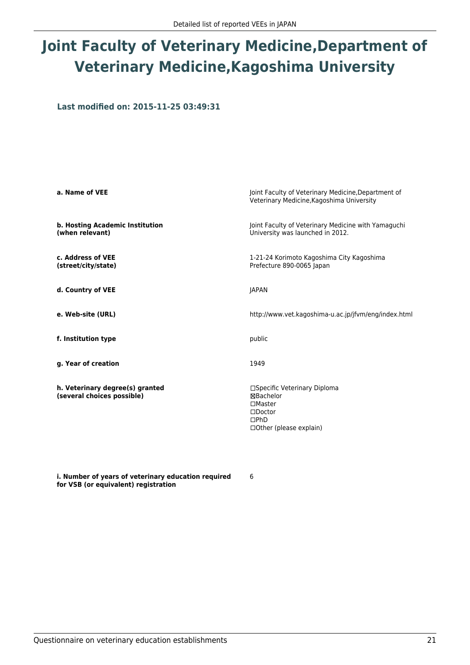## **Joint Faculty of Veterinary Medicine,Department of Veterinary Medicine,Kagoshima University**

**Last modified on: 2015-11-25 03:49:31**

| a. Name of VEE                                                | Joint Faculty of Veterinary Medicine, Department of<br>Veterinary Medicine, Kagoshima University                                    |
|---------------------------------------------------------------|-------------------------------------------------------------------------------------------------------------------------------------|
| b. Hosting Academic Institution<br>(when relevant)            | Joint Faculty of Veterinary Medicine with Yamaguchi<br>University was launched in 2012.                                             |
| c. Address of VEE<br>(street/city/state)                      | 1-21-24 Korimoto Kagoshima City Kagoshima<br>Prefecture 890-0065 Japan                                                              |
| d. Country of VEE                                             | <b>JAPAN</b>                                                                                                                        |
| e. Web-site (URL)                                             | http://www.vet.kagoshima-u.ac.jp/jfvm/eng/index.html                                                                                |
| f. Institution type                                           | public                                                                                                                              |
| g. Year of creation                                           | 1949                                                                                                                                |
| h. Veterinary degree(s) granted<br>(several choices possible) | □Specific Veterinary Diploma<br>⊠Bachelor<br>$\square$ Master<br>$\square$ Doctor<br>$\square$ PhD<br>$\Box$ Other (please explain) |

**i. Number of years of veterinary education required for VSB (or equivalent) registration**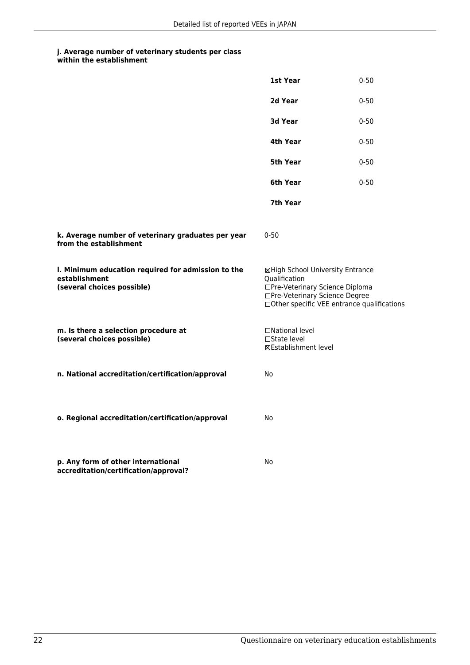|                                                                                                   | 1st Year                                                                                                                                                              | $0 - 50$ |
|---------------------------------------------------------------------------------------------------|-----------------------------------------------------------------------------------------------------------------------------------------------------------------------|----------|
|                                                                                                   | 2d Year                                                                                                                                                               | $0 - 50$ |
|                                                                                                   | 3d Year                                                                                                                                                               | $0 - 50$ |
|                                                                                                   | 4th Year                                                                                                                                                              | $0 - 50$ |
|                                                                                                   | 5th Year                                                                                                                                                              | $0 - 50$ |
|                                                                                                   | 6th Year                                                                                                                                                              | $0 - 50$ |
|                                                                                                   | 7th Year                                                                                                                                                              |          |
| k. Average number of veterinary graduates per year<br>from the establishment                      | $0 - 50$                                                                                                                                                              |          |
| I. Minimum education required for admission to the<br>establishment<br>(several choices possible) | ⊠High School University Entrance<br>Qualification<br>□Pre-Veterinary Science Diploma<br>□Pre-Veterinary Science Degree<br>□Other specific VEE entrance qualifications |          |
| m. Is there a selection procedure at<br>(several choices possible)                                | □National level<br>□State level<br>⊠Establishment level                                                                                                               |          |
| n. National accreditation/certification/approval                                                  | No                                                                                                                                                                    |          |
| o. Regional accreditation/certification/approval                                                  | No                                                                                                                                                                    |          |
| p. Any form of other international<br>accreditation/certification/approval?                       | No                                                                                                                                                                    |          |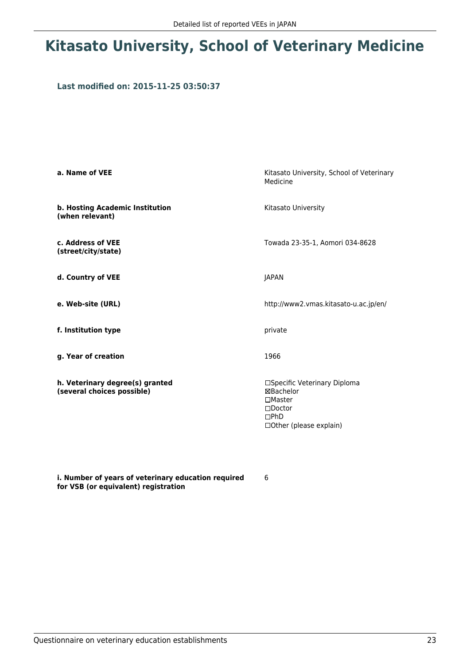### **Kitasato University, School of Veterinary Medicine**

#### **Last modified on: 2015-11-25 03:50:37**

| a. Name of VEE                                                | Kitasato University, School of Veterinary<br>Medicine                                                                    |  |
|---------------------------------------------------------------|--------------------------------------------------------------------------------------------------------------------------|--|
| b. Hosting Academic Institution<br>(when relevant)            | Kitasato University                                                                                                      |  |
| c. Address of VEE<br>(street/city/state)                      | Towada 23-35-1, Aomori 034-8628                                                                                          |  |
| d. Country of VEE                                             | JAPAN                                                                                                                    |  |
| e. Web-site (URL)                                             | http://www2.vmas.kitasato-u.ac.jp/en/                                                                                    |  |
| f. Institution type                                           | private                                                                                                                  |  |
| g. Year of creation                                           | 1966                                                                                                                     |  |
| h. Veterinary degree(s) granted<br>(several choices possible) | □Specific Veterinary Diploma<br>⊠Bachelor<br>$\Box$ Master<br>$\square$ Doctor<br>$\Box$ PhD<br>□ Other (please explain) |  |

**i. Number of years of veterinary education required for VSB (or equivalent) registration**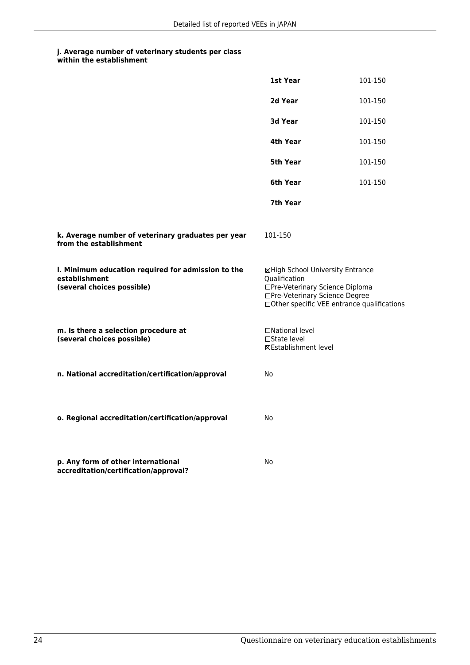|                                                                                                   | 1st Year                                                                                                                                                              | 101-150 |
|---------------------------------------------------------------------------------------------------|-----------------------------------------------------------------------------------------------------------------------------------------------------------------------|---------|
|                                                                                                   | 2d Year                                                                                                                                                               | 101-150 |
|                                                                                                   | 3d Year                                                                                                                                                               | 101-150 |
|                                                                                                   | 4th Year                                                                                                                                                              | 101-150 |
|                                                                                                   | 5th Year                                                                                                                                                              | 101-150 |
|                                                                                                   | 6th Year                                                                                                                                                              | 101-150 |
|                                                                                                   | 7th Year                                                                                                                                                              |         |
| k. Average number of veterinary graduates per year<br>from the establishment                      | 101-150                                                                                                                                                               |         |
| I. Minimum education required for admission to the<br>establishment<br>(several choices possible) | ⊠High School University Entrance<br>Qualification<br>□Pre-Veterinary Science Diploma<br>□Pre-Veterinary Science Degree<br>□Other specific VEE entrance qualifications |         |
| m. Is there a selection procedure at<br>(several choices possible)                                | □National level<br>□State level<br>⊠Establishment level                                                                                                               |         |
| n. National accreditation/certification/approval                                                  | No                                                                                                                                                                    |         |
| o. Regional accreditation/certification/approval                                                  | No                                                                                                                                                                    |         |
| p. Any form of other international<br>accreditation/certification/approval?                       | No                                                                                                                                                                    |         |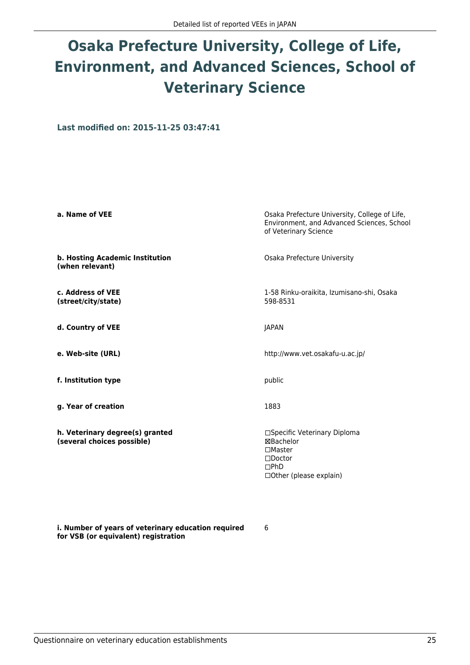# **Osaka Prefecture University, College of Life, Environment, and Advanced Sciences, School of Veterinary Science**

**Last modified on: 2015-11-25 03:47:41**

| a. Name of VEE                                                | Osaka Prefecture University, College of Life,<br>Environment, and Advanced Sciences, School<br>of Veterinary Science           |  |
|---------------------------------------------------------------|--------------------------------------------------------------------------------------------------------------------------------|--|
| b. Hosting Academic Institution<br>(when relevant)            | Osaka Prefecture University                                                                                                    |  |
| c. Address of VEE<br>(street/city/state)                      | 1-58 Rinku-oraikita, Izumisano-shi, Osaka<br>598-8531                                                                          |  |
| d. Country of VEE                                             | <b>JAPAN</b>                                                                                                                   |  |
| e. Web-site (URL)                                             | http://www.vet.osakafu-u.ac.jp/                                                                                                |  |
| f. Institution type                                           | public                                                                                                                         |  |
| g. Year of creation                                           | 1883                                                                                                                           |  |
| h. Veterinary degree(s) granted<br>(several choices possible) | □Specific Veterinary Diploma<br>⊠Bachelor<br>$\square$ Master<br>$\square$ Doctor<br>$\square$ PhD<br>□ Other (please explain) |  |

**i. Number of years of veterinary education required for VSB (or equivalent) registration**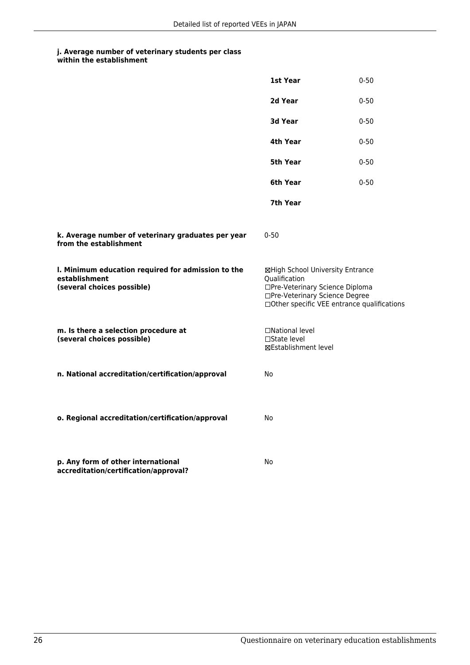|                                                                                                   | 1st Year                                                                                                                                                              | $0 - 50$ |
|---------------------------------------------------------------------------------------------------|-----------------------------------------------------------------------------------------------------------------------------------------------------------------------|----------|
|                                                                                                   | 2d Year                                                                                                                                                               | $0 - 50$ |
|                                                                                                   | 3d Year                                                                                                                                                               | $0 - 50$ |
|                                                                                                   | 4th Year                                                                                                                                                              | $0 - 50$ |
|                                                                                                   | 5th Year                                                                                                                                                              | $0 - 50$ |
|                                                                                                   | 6th Year                                                                                                                                                              | $0 - 50$ |
|                                                                                                   | 7th Year                                                                                                                                                              |          |
| k. Average number of veterinary graduates per year<br>from the establishment                      | $0 - 50$                                                                                                                                                              |          |
| I. Minimum education required for admission to the<br>establishment<br>(several choices possible) | ⊠High School University Entrance<br>Qualification<br>□Pre-Veterinary Science Diploma<br>□Pre-Veterinary Science Degree<br>□Other specific VEE entrance qualifications |          |
| m. Is there a selection procedure at<br>(several choices possible)                                | □National level<br>□State level<br>⊠Establishment level                                                                                                               |          |
| n. National accreditation/certification/approval                                                  | No                                                                                                                                                                    |          |
| o. Regional accreditation/certification/approval                                                  | No                                                                                                                                                                    |          |
| p. Any form of other international<br>accreditation/certification/approval?                       | No                                                                                                                                                                    |          |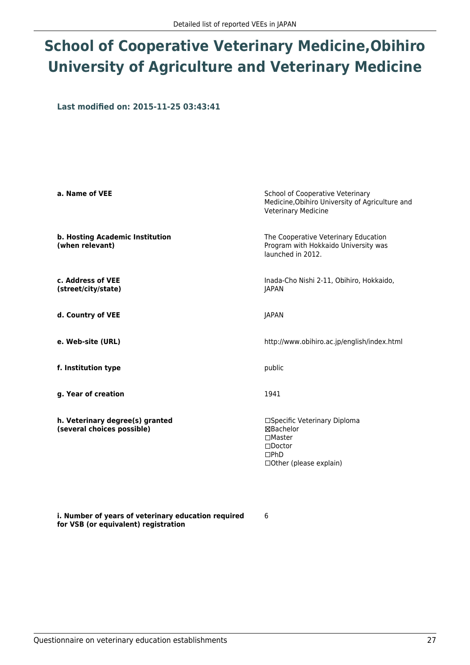### **School of Cooperative Veterinary Medicine,Obihiro University of Agriculture and Veterinary Medicine**

**Last modified on: 2015-11-25 03:43:41**

| a. Name of VEE                                                | School of Cooperative Veterinary<br>Medicine, Obihiro University of Agriculture and<br>Veterinary Medicine      |
|---------------------------------------------------------------|-----------------------------------------------------------------------------------------------------------------|
| b. Hosting Academic Institution<br>(when relevant)            | The Cooperative Veterinary Education<br>Program with Hokkaido University was<br>launched in 2012.               |
| c. Address of VEE<br>(street/city/state)                      | Inada-Cho Nishi 2-11, Obihiro, Hokkaido,<br><b>JAPAN</b>                                                        |
| d. Country of VEE                                             | JAPAN                                                                                                           |
| e. Web-site (URL)                                             | http://www.obihiro.ac.jp/english/index.html                                                                     |
| f. Institution type                                           | public                                                                                                          |
| g. Year of creation                                           | 1941                                                                                                            |
| h. Veterinary degree(s) granted<br>(several choices possible) | □Specific Veterinary Diploma<br>⊠Bachelor<br>$\Box$ Master<br>$\Box$ Doctor<br>DPhD<br>□ Other (please explain) |

6

**i. Number of years of veterinary education required for VSB (or equivalent) registration**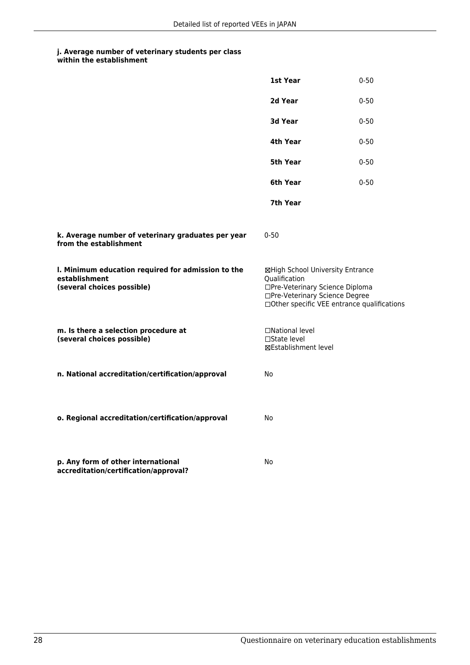|                                                                                                   | 1st Year                                                                                                                                                              | $0 - 50$ |
|---------------------------------------------------------------------------------------------------|-----------------------------------------------------------------------------------------------------------------------------------------------------------------------|----------|
|                                                                                                   | 2d Year                                                                                                                                                               | $0 - 50$ |
|                                                                                                   | 3d Year                                                                                                                                                               | $0 - 50$ |
|                                                                                                   | 4th Year                                                                                                                                                              | $0 - 50$ |
|                                                                                                   | 5th Year                                                                                                                                                              | $0 - 50$ |
|                                                                                                   | 6th Year                                                                                                                                                              | $0 - 50$ |
|                                                                                                   | 7th Year                                                                                                                                                              |          |
| k. Average number of veterinary graduates per year<br>from the establishment                      | $0 - 50$                                                                                                                                                              |          |
| I. Minimum education required for admission to the<br>establishment<br>(several choices possible) | ⊠High School University Entrance<br>Qualification<br>□Pre-Veterinary Science Diploma<br>□Pre-Veterinary Science Degree<br>□Other specific VEE entrance qualifications |          |
| m. Is there a selection procedure at<br>(several choices possible)                                | □National level<br>□State level<br>⊠Establishment level                                                                                                               |          |
| n. National accreditation/certification/approval                                                  | No                                                                                                                                                                    |          |
| o. Regional accreditation/certification/approval                                                  | No                                                                                                                                                                    |          |
| p. Any form of other international<br>accreditation/certification/approval?                       | No                                                                                                                                                                    |          |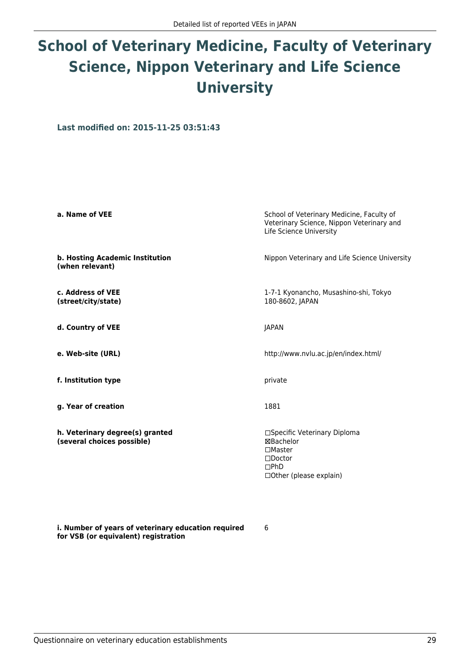# **School of Veterinary Medicine, Faculty of Veterinary Science, Nippon Veterinary and Life Science University**

**Last modified on: 2015-11-25 03:51:43**

| a. Name of VEE                                                | School of Veterinary Medicine, Faculty of<br>Veterinary Science, Nippon Veterinary and<br>Life Science University        |  |
|---------------------------------------------------------------|--------------------------------------------------------------------------------------------------------------------------|--|
| b. Hosting Academic Institution<br>(when relevant)            | Nippon Veterinary and Life Science University                                                                            |  |
| c. Address of VEE<br>(street/city/state)                      | 1-7-1 Kyonancho, Musashino-shi, Tokyo<br>180-8602, JAPAN                                                                 |  |
| d. Country of VEE                                             | JAPAN                                                                                                                    |  |
| e. Web-site (URL)                                             | http://www.nvlu.ac.jp/en/index.html/                                                                                     |  |
| f. Institution type                                           | private                                                                                                                  |  |
| g. Year of creation                                           | 1881                                                                                                                     |  |
| h. Veterinary degree(s) granted<br>(several choices possible) | □Specific Veterinary Diploma<br>⊠Bachelor<br>$\Box$ Master<br>$\square$ Doctor<br>$\Box$ PhD<br>□ Other (please explain) |  |

6

**i. Number of years of veterinary education required for VSB (or equivalent) registration**

Questionnaire on veterinary education establishments 29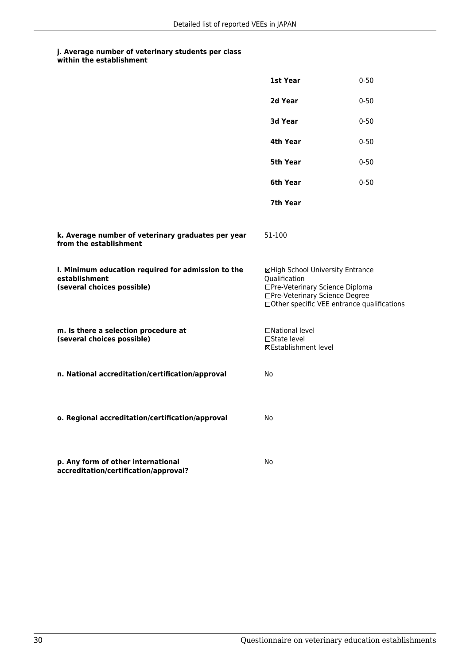|                                                                                                   | 1st Year                                                                                                                                                              | $0 - 50$ |
|---------------------------------------------------------------------------------------------------|-----------------------------------------------------------------------------------------------------------------------------------------------------------------------|----------|
|                                                                                                   | 2d Year                                                                                                                                                               | $0 - 50$ |
|                                                                                                   | <b>3d Year</b>                                                                                                                                                        | $0 - 50$ |
|                                                                                                   | 4th Year                                                                                                                                                              | $0 - 50$ |
|                                                                                                   | 5th Year                                                                                                                                                              | $0 - 50$ |
|                                                                                                   | 6th Year                                                                                                                                                              | $0 - 50$ |
|                                                                                                   | 7th Year                                                                                                                                                              |          |
| k. Average number of veterinary graduates per year<br>from the establishment                      | 51-100                                                                                                                                                                |          |
| I. Minimum education required for admission to the<br>establishment<br>(several choices possible) | ⊠High School University Entrance<br>Qualification<br>□Pre-Veterinary Science Diploma<br>□Pre-Veterinary Science Degree<br>□Other specific VEE entrance qualifications |          |
| m. Is there a selection procedure at<br>(several choices possible)                                | □National level<br>□State level<br>⊠Establishment level                                                                                                               |          |
| n. National accreditation/certification/approval                                                  | No                                                                                                                                                                    |          |
| o. Regional accreditation/certification/approval                                                  | No                                                                                                                                                                    |          |
| p. Any form of other international<br>accreditation/certification/approval?                       | No                                                                                                                                                                    |          |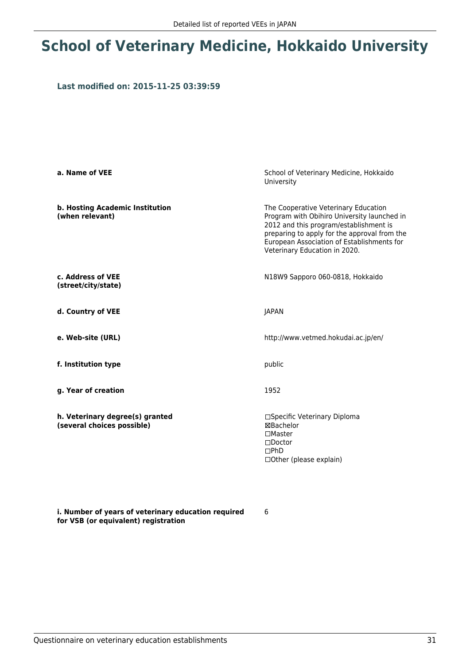### **School of Veterinary Medicine, Hokkaido University**

#### **Last modified on: 2015-11-25 03:39:59**

| a. Name of VEE                                                | School of Veterinary Medicine, Hokkaido<br>University                                                                                                                                                                                                        |
|---------------------------------------------------------------|--------------------------------------------------------------------------------------------------------------------------------------------------------------------------------------------------------------------------------------------------------------|
| b. Hosting Academic Institution<br>(when relevant)            | The Cooperative Veterinary Education<br>Program with Obihiro University launched in<br>2012 and this program/establishment is<br>preparing to apply for the approval from the<br>European Association of Establishments for<br>Veterinary Education in 2020. |
| c. Address of VEE<br>(street/city/state)                      | N18W9 Sapporo 060-0818, Hokkaido                                                                                                                                                                                                                             |
| d. Country of VEE                                             | <b>JAPAN</b>                                                                                                                                                                                                                                                 |
| e. Web-site (URL)                                             | http://www.vetmed.hokudai.ac.jp/en/                                                                                                                                                                                                                          |
| f. Institution type                                           | public                                                                                                                                                                                                                                                       |
| g. Year of creation                                           | 1952                                                                                                                                                                                                                                                         |
| h. Veterinary degree(s) granted<br>(several choices possible) | □Specific Veterinary Diploma<br><b>⊠Bachelor</b><br>$\square$ Master<br>$\square$ Doctor<br>DPhD<br>□ Other (please explain)                                                                                                                                 |

6

**i. Number of years of veterinary education required for VSB (or equivalent) registration**

Questionnaire on veterinary education establishments 31